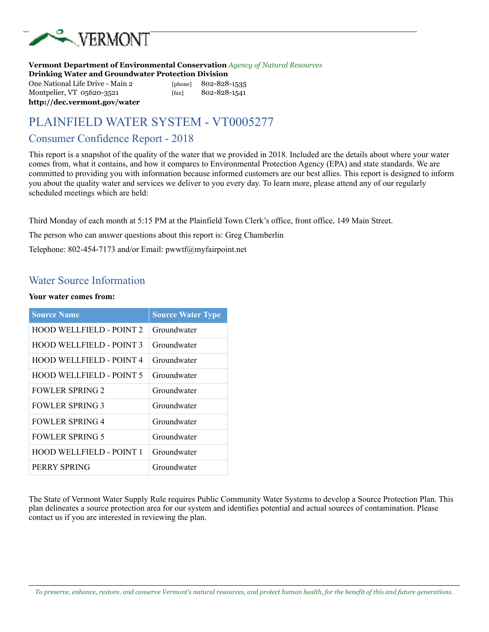

**http://dec.vermont.gov/water** 

**Vermont Department of Environmental Conservation** *Agency of Natural Resources* **Drinking Water and Groundwater Protection Division**  One National Life Drive - Main 2 [phone] 802-828-1535 Montpelier, VT 05620-3521 [fax] 802-828-1541

# PLAINFIELD WATER SYSTEM - VT0005277

#### Consumer Confidence Report - 2018

This report is a snapshot of the quality of the water that we provided in 2018. Included are the details about where your water comes from, what it contains, and how it compares to Environmental Protection Agency (EPA) and state standards. We are committed to providing you with information because informed customers are our best allies. This report is designed to inform you about the quality water and services we deliver to you every day. To learn more, please attend any of our regularly scheduled meetings which are held:

Third Monday of each month at 5:15 PM at the Plainfield Town Clerk's office, front office, 149 Main Street.

The person who can answer questions about this report is: Greg Chamberlin

Telephone: 802-454-7173 and/or Email: pwwtf@myfairpoint.net

#### Water Source Information

#### **Your water comes from:**

| <b>Source Name</b>              | <b>Source Water Type</b> |
|---------------------------------|--------------------------|
| <b>HOOD WELLFIELD - POINT 2</b> | Groundwater              |
| <b>HOOD WELLFIELD - POINT 3</b> | Groundwater              |
| <b>HOOD WELLFIELD - POINT 4</b> | Groundwater              |
| <b>HOOD WELLFIELD - POINT 5</b> | Groundwater              |
| <b>FOWLER SPRING 2</b>          | Groundwater              |
| <b>FOWLER SPRING 3</b>          | Groundwater              |
| <b>FOWLER SPRING 4</b>          | Groundwater              |
| <b>FOWLER SPRING 5</b>          | Groundwater              |
| <b>HOOD WELLFIELD - POINT 1</b> | Groundwater              |
| PERRY SPRING                    | Groundwater              |

The State of Vermont Water Supply Rule requires Public Community Water Systems to develop a Source Protection Plan. This plan delineates a source protection area for our system and identifies potential and actual sources of contamination. Please contact us if you are interested in reviewing the plan.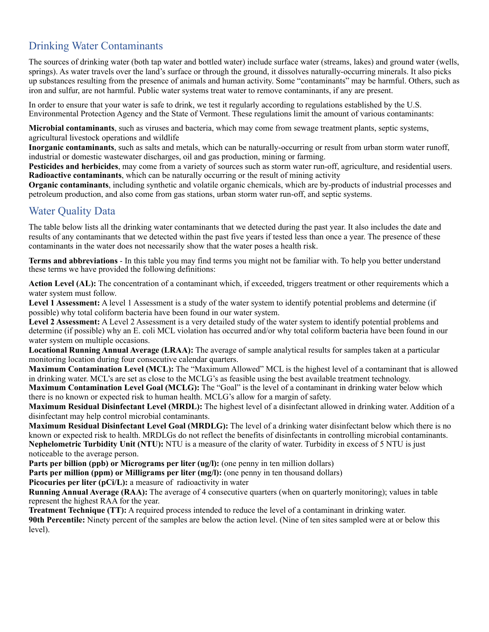# Drinking Water Contaminants

The sources of drinking water (both tap water and bottled water) include surface water (streams, lakes) and ground water (wells, springs). As water travels over the land's surface or through the ground, it dissolves naturally-occurring minerals. It also picks up substances resulting from the presence of animals and human activity. Some "contaminants" may be harmful. Others, such as iron and sulfur, are not harmful. Public water systems treat water to remove contaminants, if any are present.

In order to ensure that your water is safe to drink, we test it regularly according to regulations established by the U.S. Environmental Protection Agency and the State of Vermont. These regulations limit the amount of various contaminants:

**Microbial contaminants**, such as viruses and bacteria, which may come from sewage treatment plants, septic systems, agricultural livestock operations and wildlife

**Inorganic contaminants**, such as salts and metals, which can be naturally-occurring or result from urban storm water runoff, industrial or domestic wastewater discharges, oil and gas production, mining or farming.

**Pesticides and herbicides**, may come from a variety of sources such as storm water run-off, agriculture, and residential users. **Radioactive contaminants**, which can be naturally occurring or the result of mining activity

**Organic contaminants**, including synthetic and volatile organic chemicals, which are by-products of industrial processes and petroleum production, and also come from gas stations, urban storm water run-off, and septic systems.

## Water Quality Data

The table below lists all the drinking water contaminants that we detected during the past year. It also includes the date and results of any contaminants that we detected within the past five years if tested less than once a year. The presence of these contaminants in the water does not necessarily show that the water poses a health risk.

**Terms and abbreviations** - In this table you may find terms you might not be familiar with. To help you better understand these terms we have provided the following definitions:

**Action Level (AL):** The concentration of a contaminant which, if exceeded, triggers treatment or other requirements which a water system must follow.

Level 1 Assessment: A level 1 Assessment is a study of the water system to identify potential problems and determine (if possible) why total coliform bacteria have been found in our water system.

**Level 2 Assessment:** A Level 2 Assessment is a very detailed study of the water system to identify potential problems and determine (if possible) why an E. coli MCL violation has occurred and/or why total coliform bacteria have been found in our water system on multiple occasions.

**Locational Running Annual Average (LRAA):** The average of sample analytical results for samples taken at a particular monitoring location during four consecutive calendar quarters.

**Maximum Contamination Level (MCL):** The "Maximum Allowed" MCL is the highest level of a contaminant that is allowed in drinking water. MCL's are set as close to the MCLG's as feasible using the best available treatment technology.

**Maximum Contamination Level Goal (MCLG):** The "Goal" is the level of a contaminant in drinking water below which there is no known or expected risk to human health. MCLG's allow for a margin of safety.

**Maximum Residual Disinfectant Level (MRDL):** The highest level of a disinfectant allowed in drinking water. Addition of a disinfectant may help control microbial contaminants.

**Maximum Residual Disinfectant Level Goal (MRDLG):** The level of a drinking water disinfectant below which there is no known or expected risk to health. MRDLGs do not reflect the benefits of disinfectants in controlling microbial contaminants. **Nephelometric Turbidity Unit (NTU):** NTU is a measure of the clarity of water. Turbidity in excess of 5 NTU is just noticeable to the average person.

**Parts per billion (ppb) or Micrograms per liter (ug/l):** (one penny in ten million dollars)

**Parts per million (ppm) or Milligrams per liter (mg/l):** (one penny in ten thousand dollars)

**Picocuries per liter (pCi/L):** a measure of radioactivity in water

**Running Annual Average (RAA):** The average of 4 consecutive quarters (when on quarterly monitoring); values in table represent the highest RAA for the year.

**Treatment Technique (TT):** A required process intended to reduce the level of a contaminant in drinking water.

**90th Percentile:** Ninety percent of the samples are below the action level. (Nine of ten sites sampled were at or below this level).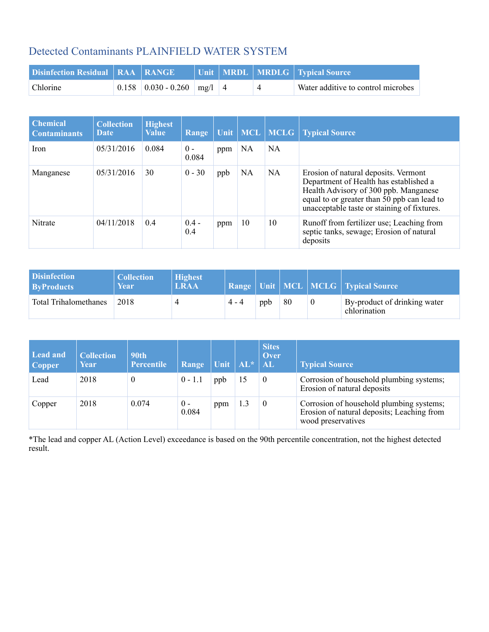# Detected Contaminants PLAINFIELD WATER SYSTEM

| <b>Disinfection Residual   RAA   RANGE</b> |                                    |  | Unit   MRDL   MRDLG   Typical Source |
|--------------------------------------------|------------------------------------|--|--------------------------------------|
| <b>Chlorine</b>                            | $0.158$   0.030 - 0.260   mg/l   4 |  | Water additive to control microbes   |

| <b>Chemical</b><br><b>Contaminants</b> | <b>Collection</b><br>Date | <b>Highest</b><br><b>Value</b> | Range          | <b>Unit</b> |    | MCL MCLG  | <b>Typical Source</b>                                                                                                                                                                                                 |
|----------------------------------------|---------------------------|--------------------------------|----------------|-------------|----|-----------|-----------------------------------------------------------------------------------------------------------------------------------------------------------------------------------------------------------------------|
| Iron                                   | 05/31/2016                | 0.084                          | $0 -$<br>0.084 | ppm         | NA | NA        |                                                                                                                                                                                                                       |
| Manganese                              | 05/31/2016                | 30                             | $0 - 30$       | ppb         | NA | <b>NA</b> | Erosion of natural deposits. Vermont<br>Department of Health has established a<br>Health Advisory of 300 ppb. Manganese<br>equal to or greater than 50 ppb can lead to<br>unacceptable taste or staining of fixtures. |
| Nitrate                                | 04/11/2018                | 0.4                            | $0.4 -$<br>0.4 | ppm         | 10 | 10        | Runoff from fertilizer use; Leaching from<br>septic tanks, sewage; Erosion of natural<br>deposits                                                                                                                     |

| <b>Disinfection</b><br><b>ByProducts</b> | <b>Collection</b><br>Year | <b>Highest</b><br>LRAA |         |     |    |          | <b>Range   Unit   MCL   MCLG   Typical Source  </b> |
|------------------------------------------|---------------------------|------------------------|---------|-----|----|----------|-----------------------------------------------------|
| <b>Total Trihalomethanes</b>             | 2018                      |                        | $4 - 4$ | ppb | 80 | $\theta$ | By-product of drinking water<br>chlorination        |

| Lead and<br><b>Copper</b> | <b>Collection</b><br>Year | <b>90th</b><br>Percentile | Range          | $ \text{Unit} \text{AL*} \text{AL} $ |     | <b>Sites</b><br>Over | <b>Typical Source</b>                                                                                        |
|---------------------------|---------------------------|---------------------------|----------------|--------------------------------------|-----|----------------------|--------------------------------------------------------------------------------------------------------------|
| Lead                      | 2018                      | 0                         | $0 - 1.1$      | ppb                                  |     | $\theta$             | Corrosion of household plumbing systems;<br>Erosion of natural deposits                                      |
| Copper                    | 2018                      | 0.074                     | $0 -$<br>0.084 | ppm                                  | 1.3 | $\theta$             | Corrosion of household plumbing systems;<br>Erosion of natural deposits; Leaching from<br>wood preservatives |

\*The lead and copper AL (Action Level) exceedance is based on the 90th percentile concentration, not the highest detected result.